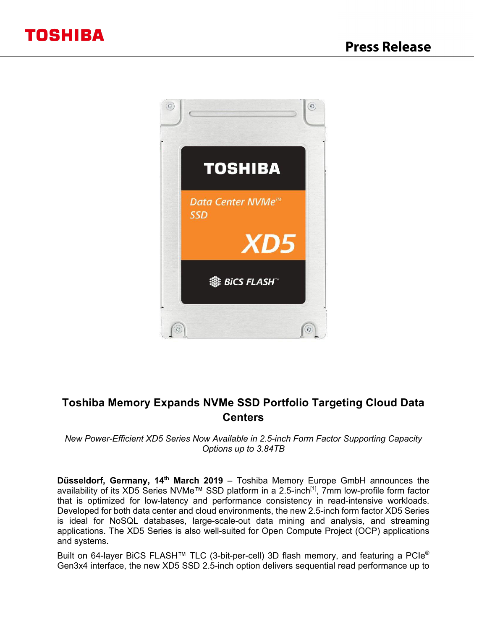

# **Toshiba Memory Expands NVMe SSD Portfolio Targeting Cloud Data Centers**

*New Power-Efficient XD5 Series Now Available in 2.5-inch Form Factor Supporting Capacity Options up to 3.84TB*

**Düsseldorf, Germany, 14th March 2019** – Toshiba Memory Europe GmbH announces the availability of its XD5 Series NVMe™ SSD platform in a 2.5-inch<sup>[1]</sup>, 7mm low-profile form factor that is optimized for low-latency and performance consistency in read-intensive workloads. Developed for both data center and cloud environments, the new 2.5-inch form factor XD5 Series is ideal for NoSQL databases, large-scale-out data mining and analysis, and streaming applications. The XD5 Series is also well-suited for Open Compute Project (OCP) applications and systems.

Built on 64-layer BiCS FLASH™ TLC (3-bit-per-cell) 3D flash memory, and featuring a PCIe® Gen3x4 interface, the new XD5 SSD 2.5-inch option delivers sequential read performance up to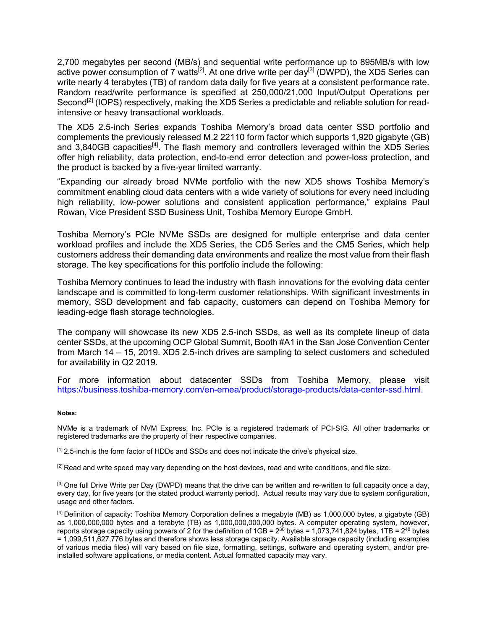2,700 megabytes per second (MB/s) and sequential write performance up to 895MB/s with low active power consumption of 7 watts<sup>[2]</sup>. At one drive write per day<sup>[3]</sup> (DWPD), the XD5 Series can write nearly 4 terabytes (TB) of random data daily for five years at a consistent performance rate. Random read/write performance is specified at 250,000/21,000 Input/Output Operations per Second<sup>[2]</sup> (IOPS) respectively, making the XD5 Series a predictable and reliable solution for readintensive or heavy transactional workloads.

The XD5 2.5-inch Series expands Toshiba Memory's broad data center SSD portfolio and complements the previously released M.2 22110 form factor which supports 1,920 gigabyte (GB) and 3,840GB capacities<sup>[4]</sup>. The flash memory and controllers leveraged within the XD5 Series offer high reliability, data protection, end-to-end error detection and power-loss protection, and the product is backed by a five-year limited warranty.

"Expanding our already broad NVMe portfolio with the new XD5 shows Toshiba Memory's commitment enabling cloud data centers with a wide variety of solutions for every need including high reliability, low-power solutions and consistent application performance," explains Paul Rowan, Vice President SSD Business Unit, Toshiba Memory Europe GmbH.

Toshiba Memory's PCIe NVMe SSDs are designed for multiple enterprise and data center workload profiles and include the XD5 Series, the CD5 Series and the CM5 Series, which help customers address their demanding data environments and realize the most value from their flash storage. The key specifications for this portfolio include the following:

Toshiba Memory continues to lead the industry with flash innovations for the evolving data center landscape and is committed to long-term customer relationships. With significant investments in memory, SSD development and fab capacity, customers can depend on Toshiba Memory for leading-edge flash storage technologies.

The company will showcase its new XD5 2.5-inch SSDs, as well as its complete lineup of data center SSDs, at the upcoming OCP Global Summit, Booth #A1 in the San Jose Convention Center from March 14 – 15, 2019. XD5 2.5-inch drives are sampling to select customers and scheduled for availability in Q2 2019.

For more information about datacenter SSDs from Toshiba Memory, please visit https://business.toshiba-memory.com/en-emea/product/storage-products/data-center-ssd.html.

## **Notes:**

NVMe is a trademark of NVM Express, Inc. PCIe is a registered trademark of PCI-SIG. All other trademarks or registered trademarks are the property of their respective companies.

 $<sup>[1]</sup>$  2.5-inch is the form factor of HDDs and SSDs and does not indicate the drive's physical size.</sup>

 $[2]$  Read and write speed may vary depending on the host devices, read and write conditions, and file size.

<sup>[3]</sup> One full Drive Write per Day (DWPD) means that the drive can be written and re-written to full capacity once a day, every day, for five years (or the stated product warranty period). Actual results may vary due to system configuration, usage and other factors.

[4] Definition of capacity: Toshiba Memory Corporation defines a megabyte (MB) as 1,000,000 bytes, a gigabyte (GB) as 1,000,000,000 bytes and a terabyte (TB) as 1,000,000,000,000 bytes. A computer operating system, however, reports storage capacity using powers of 2 for the definition of  $1GB = 2^{30}$  bytes = 1,073,741,824 bytes, 1TB =  $2^{40}$  bytes = 1,099,511,627,776 bytes and therefore shows less storage capacity. Available storage capacity (including examples of various media files) will vary based on file size, formatting, settings, software and operating system, and/or preinstalled software applications, or media content. Actual formatted capacity may vary.